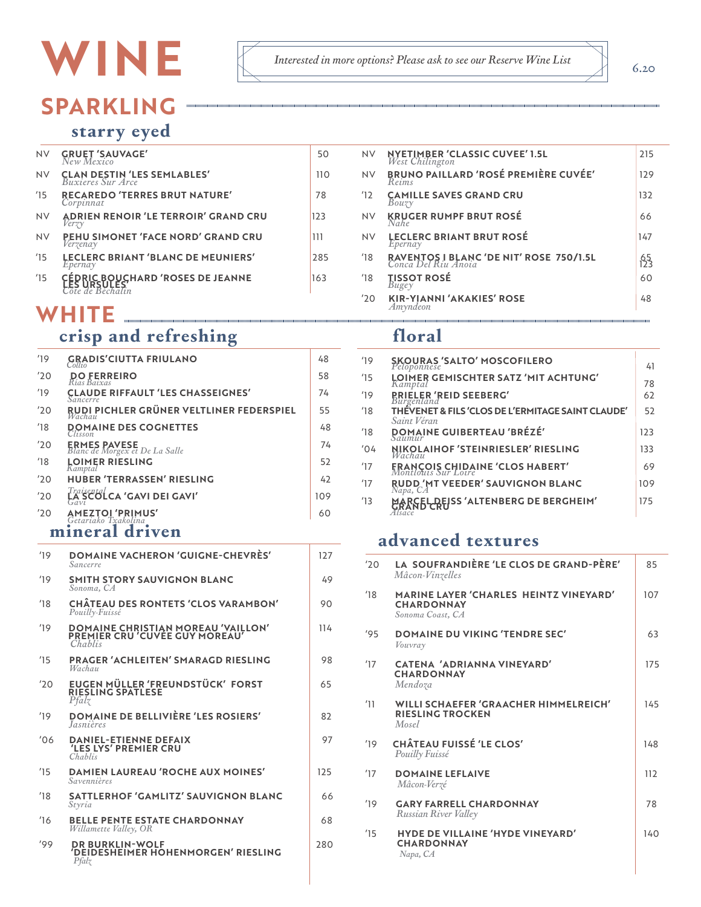# WINE

## **SPARKLING**

#### starry eyed

| <b>NV</b> | <b>GRUET 'SAUVAGE'</b><br>New Mexico                                 | 50  | NV            | <b>NYETIMBER 'CLASSIC CUVEE' 1.5L</b><br>West Chilington       | 215                 |
|-----------|----------------------------------------------------------------------|-----|---------------|----------------------------------------------------------------|---------------------|
| <b>NV</b> | <b>CLAN DESTIN 'LES SEMLABLES'</b><br><i>Buxieres Sur Arce</i>       | 110 | NV            | <b>BRUNO PAILLARD 'ROSÉ PREMIÈRE CUVÉE'</b><br>Reims           | 129                 |
| 15        | <b>RECAREDO 'TERRES BRUT NATURE'</b><br>Corpinnat                    | 78  | 12            | <b>CAMILLE SAVES GRAND CRU</b><br>Bouzv                        | 132                 |
| <b>NV</b> | <b>ADRIEN RENOIR 'LE TERROIR' GRAND CRU</b><br>Verzy                 | 123 | NV            | <b>KRUGER RUMPF BRUT ROSÉ</b><br>Nahe                          | 66                  |
| <b>NV</b> | PEHU SIMONET 'FACE NORD' GRAND CRU<br>Verzenay                       | 111 | NV            | <b>LECLERC BRIANT BRUT ROSÉ</b><br>Epernay                     | 147                 |
| 15        | <b>LECLERC BRIANT 'BLANC DE MEUNIERS'</b><br>Epernay                 | 285 | $^{\prime}18$ | RAVENTOS I BLANC 'DE NIT' ROSE 750/1.5L<br>Conca Del Riu Anoia | $65$ <sub>123</sub> |
| 15        | CEDRIC BOUCHARD 'ROSES DE JEANNE<br>"ES URSULES"<br>Tôte de Béchalin | 163 | 18            | TISSOT ROSÉ<br>Bugey                                           | 60                  |
|           | \\/   TF                                                             |     | '20           | <b>KIR-YIANNI 'AKAKIES' ROSE</b><br>Amvndeon                   | 48                  |

### WHITE

## crisp and refreshing

| 19            | <b>GRADIS'CIUTTA FRIULANO</b><br>Collio                   | 48  |
|---------------|-----------------------------------------------------------|-----|
| '20           | <b>DO FERREIRO</b><br>Rías Baixas                         | 58  |
| 19            | <b>CLAUDE RIFFAULT 'LES CHASSEIGNES'</b><br>Sancerre      | 74  |
| '20           | RUDI PICHLER GRÜNER VELTLINER FEDERSPIEL<br>Wachau        | 55  |
| $^{\prime}18$ | <b>DOMAINE DES COGNETTES</b>                              | 48  |
| '20           | <b>ERMES PAVESE</b><br>Blanc de Morgex et De La Salle     | 74  |
| 18            | <b>LOIMER RIESLING</b><br>Kamptal                         | 52  |
| '20           | <b>HUBER 'TERRASSEN' RIESLING</b>                         | 42  |
| '20           | $\overline{\mathcal{L}}$ A SCOLCA 'GAVI DEI GAVI'<br>Gavi | 109 |
| '20           | <b>AMEZTOI 'PRIMUS'</b><br>Getariako Txakolina            | 60  |

#### mineral driven

| 19   | <b>DOMAINE VACHERON 'GUIGNE-CHEVRÈS'</b><br>Sancerre                            | 127 |
|------|---------------------------------------------------------------------------------|-----|
| 19   | <b>SMITH STORY SAUVIGNON BLANC</b><br>Sonoma, CA                                | 49  |
| 18'  | <b>CHÂTEAU DES RONTETS 'CLOS VARAMBON'</b><br>Pouilly-Fuissé                    | 90  |
| 19   | DOMAINE CHRISTIAN MOREAU 'VAILLON'<br>PREMIER CRU 'CUVÉE GUY MOREAU'<br>Chablis | 114 |
| 15   | <b>PRAGER 'ACHLEITEN' SMARAGD RIESLING</b><br>Wachau                            | 98  |
| '20  | EUGEN MÜLLER 'FREUNDSTÜCK' FORST<br>RIESLING SPÄTLESE<br>Pfalz                  | 65  |
| 19   | <b>DOMAINE DE BELLIVIÈRE 'LES ROSIERS'</b><br><i><u><b>Jasnières</b></u></i>    | 82  |
| 106' | <b>DANIEL-ETIENNE DEFAIX<br/>'LES LYS' PREMIER CRU</b><br>Chablis               | 97  |
| 15   | <b>DAMIEN LAUREAU 'ROCHE AUX MOINES'</b><br>Savennières                         | 125 |
| 18'  | <b>SATTLERHOF 'GAMLITZ' SAUVIGNON BLANC</b><br>Styria                           | 66  |
| 16'  | <b>BELLE PENTE ESTATE CHARDONNAY</b><br>Willamette Valley, OR                   | 68  |
| '99' | <b>DR BURKLIN-WOLF</b><br>'DEIDESHEIMER HOHENMORGEN' RIESLING<br>Pfalz          | 280 |

#### floral

 $\label{prop:1} \emph{Interested in more options? Please ask to see our Reserve WinelList}$ 

| 19  | <b>SKOURAS 'SALTO' MOSCOFILERO</b><br>Peloponnese                | 41  |
|-----|------------------------------------------------------------------|-----|
| 15  | LOIMER GEMISCHTER SATZ 'MIT ACHTUNG'<br>Kamptal                  | 78  |
| 19' | <b><i>RRIELER 'REID SEEBERG'</i></b><br>Burgenland               | 62  |
| 18' | THẾVENET & FILS 'CLOS DE L'ERMITAGE SAINT CLAUDE'                | 52  |
| 18  | Saint Véran<br><b>DOMAINE GUIBERTEAU 'BRÉZÉ'</b><br>$\sum$ aumur | 123 |
| '04 | <b>NIKOLAIHOF 'STEINRIESLER' RIESLING</b><br>Wachau              | 133 |
| 17  | <b>FRANÇOIS CHIDAINE 'CLOS HABERT'</b><br>Montlouis Sur Loire    | 69  |
| 17  | <b>RUDD 'MT VEEDER' SAUVIGNON BLANC</b><br>Napa, CA              | 109 |
| 13  | ARCELDEISS 'ALTENBERG DE BERGHEIM'<br>Isace                      | 175 |

#### advanced textures

| '20    | LA SOUFRANDIERE 'LE CLOS DE GRAND-PERE'<br><i>Mâcon-Vinzelles</i>                      | 85  |
|--------|----------------------------------------------------------------------------------------|-----|
| 18'    | <b>MARINE LAYER 'CHARLES HEINTZ VINEYARD'</b><br><b>CHARDONNAY</b><br>Sonoma Coast, CA | 107 |
| '95    | <b>DOMAINE DU VIKING 'TENDRE SEC'</b><br>Vouvray                                       | 63  |
| 17     | CATENA 'ADRIANNA VINEYARD'<br><b>CHARDONNAY</b><br>Mendoza                             | 175 |
| 11     | <b>WILLI SCHAEFER 'GRAACHER HIMMELREICH'</b><br><b>RIESLING TROCKEN</b><br>Mosel       | 145 |
| $19-1$ | <b>CHÂTEAU FUISSÉ 'LE CLOS'</b><br>Pouilly Fuissé                                      | 148 |
| 17     | <b>DOMAINE LEFLAIVE</b><br>Mâcon-Verzé                                                 | 112 |
| 19     | <b>GARY FARRELL CHARDONNAY</b><br>Russian River Valley                                 | 78  |
| 15     | <b>HYDE DE VILLAINE 'HYDE VINEYARD'</b><br><b>CHARDONNAY</b><br>Napa, CA               | 140 |